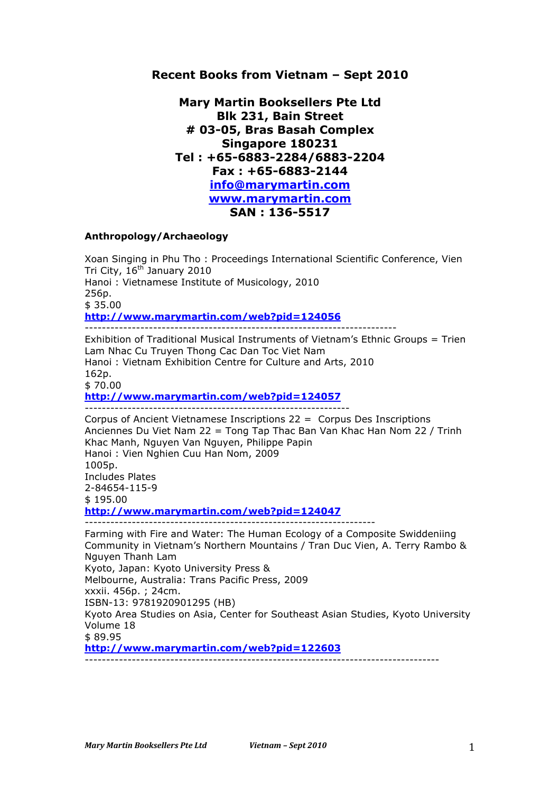# **Recent Books from Vietnam – Sept 2010**

**Mary Martin Booksellers Pte Ltd Blk 231, Bain Street # 03-05, Bras Basah Complex Singapore 180231 Tel : +65-6883-2284/6883-2204 Fax : +65-6883-2144 info@marymartin.com www.marymartin.com SAN : 136-5517**

### **Anthropology/Archaeology**

Xoan Singing in Phu Tho : Proceedings International Scientific Conference, Vien Tri City, 16<sup>th</sup> January 2010 Hanoi : Vietnamese Institute of Musicology, 2010 256p. \$ 35.00 **http://www.marymartin.com/web?pid=124056** ------------------------------------------------------------------------- Exhibition of Traditional Musical Instruments of Vietnam's Ethnic Groups = Trien

Lam Nhac Cu Truyen Thong Cac Dan Toc Viet Nam Hanoi : Vietnam Exhibition Centre for Culture and Arts, 2010 162p.

\$ 70.00

**http://www.marymartin.com/web?pid=124057**

-------------------------------------------------------------- Corpus of Ancient Vietnamese Inscriptions 22 = Corpus Des Inscriptions Anciennes Du Viet Nam 22 = Tong Tap Thac Ban Van Khac Han Nom 22 / Trinh Khac Manh, Nguyen Van Nguyen, Philippe Papin Hanoi : Vien Nghien Cuu Han Nom, 2009 1005p. Includes Plates 2-84654-115-9 \$ 195.00 **http://www.marymartin.com/web?pid=124047** -------------------------------------------------------------------- Farming with Fire and Water: The Human Ecology of a Composite Swiddeniing Community in Vietnam's Northern Mountains / Tran Duc Vien, A. Terry Rambo &

Nguyen Thanh Lam Kyoto, Japan: Kyoto University Press & Melbourne, Australia: Trans Pacific Press, 2009 xxxii. 456p. ; 24cm. ISBN-13: 9781920901295 (HB) Kyoto Area Studies on Asia, Center for Southeast Asian Studies, Kyoto University Volume 18 \$ 89.95 **http://www.marymartin.com/web?pid=122603**  $-$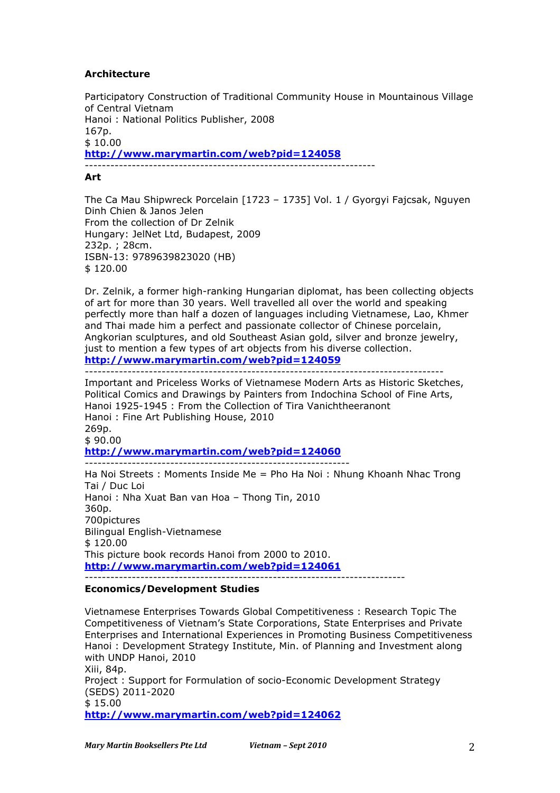## **Architecture**

Participatory Construction of Traditional Community House in Mountainous Village of Central Vietnam Hanoi : National Politics Publisher, 2008 167p.  $$10.00$ **http://www.marymartin.com/web?pid=124058** --------------------------------------------------------------------

**Art**

The Ca Mau Shipwreck Porcelain [1723 – 1735] Vol. 1 / Gyorgyi Fajcsak, Nguyen Dinh Chien & Janos Jelen From the collection of Dr Zelnik Hungary: JelNet Ltd, Budapest, 2009 232p. ; 28cm. ISBN-13: 9789639823020 (HB) \$ 120.00

Dr. Zelnik, a former high-ranking Hungarian diplomat, has been collecting objects of art for more than 30 years. Well travelled all over the world and speaking perfectly more than half a dozen of languages including Vietnamese, Lao, Khmer and Thai made him a perfect and passionate collector of Chinese porcelain, Angkorian sculptures, and old Southeast Asian gold, silver and bronze jewelry, just to mention a few types of art objects from his diverse collection. **http://www.marymartin.com/web?pid=124059**

------------------------------------------------------------------------------------

Important and Priceless Works of Vietnamese Modern Arts as Historic Sketches, Political Comics and Drawings by Painters from Indochina School of Fine Arts, Hanoi 1925-1945 : From the Collection of Tira Vanichtheeranont Hanoi : Fine Art Publishing House, 2010 269p.  $$90.00$ **http://www.marymartin.com/web?pid=124060** --------------------------------------------------------------

Ha Noi Streets : Moments Inside Me = Pho Ha Noi : Nhung Khoanh Nhac Trong Tai / Duc Loi Hanoi : Nha Xuat Ban van Hoa – Thong Tin, 2010 360p. 700pictures Bilingual English-Vietnamese \$ 120.00 This picture book records Hanoi from 2000 to 2010. **http://www.marymartin.com/web?pid=124061** ---------------------------------------------------------------------------

#### **Economics/Development Studies**

Vietnamese Enterprises Towards Global Competitiveness : Research Topic The Competitiveness of Vietnam's State Corporations, State Enterprises and Private Enterprises and International Experiences in Promoting Business Competitiveness Hanoi : Development Strategy Institute, Min. of Planning and Investment along with UNDP Hanoi, 2010 Xiii, 84p. Project : Support for Formulation of socio-Economic Development Strategy (SEDS) 2011-2020 \$ 15.00

**http://www.marymartin.com/web?pid=124062**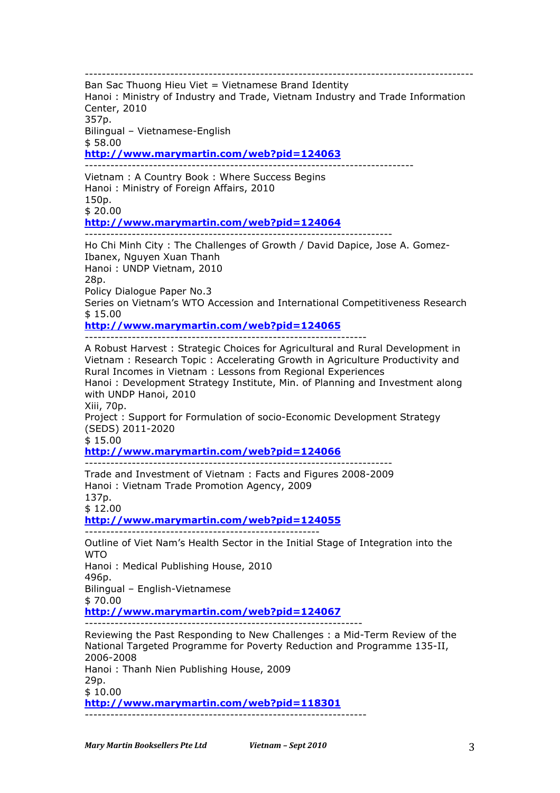-------------------------------------------------------------------------------------------

Ban Sac Thuong Hieu Viet = Vietnamese Brand Identity Hanoi : Ministry of Industry and Trade, Vietnam Industry and Trade Information Center, 2010 357p.

Bilingual – Vietnamese-English \$ 58.00

**http://www.marymartin.com/web?pid=124063**

----------------------------------------------------------------------------- Vietnam : A Country Book : Where Success Begins Hanoi : Ministry of Foreign Affairs, 2010 150p. \$ 20.00 **http://www.marymartin.com/web?pid=124064**

------------------------------------------------------------------------

Ho Chi Minh City : The Challenges of Growth / David Dapice, Jose A. Gomez-Ibanex, Nguyen Xuan Thanh Hanoi : UNDP Vietnam, 2010 28p. Policy Dialogue Paper No.3 Series on Vietnam's WTO Accession and International Competitiveness Research \$ 15.00 **http://www.marymartin.com/web?pid=124065**

------------------------------------------------------------------

A Robust Harvest : Strategic Choices for Agricultural and Rural Development in Vietnam : Research Topic : Accelerating Growth in Agriculture Productivity and Rural Incomes in Vietnam : Lessons from Regional Experiences Hanoi : Development Strategy Institute, Min. of Planning and Investment along with UNDP Hanoi, 2010 Xiii, 70p. Project : Support for Formulation of socio-Economic Development Strategy (SEDS) 2011-2020 \$ 15.00 **http://www.marymartin.com/web?pid=124066** ------------------------------------------------------------------------ Trade and Investment of Vietnam : Facts and Figures 2008-2009 Hanoi : Vietnam Trade Promotion Agency, 2009 137p. \$ 12.00 **http://www.marymartin.com/web?pid=124055** ------------------------------------------------------- Outline of Viet Nam's Health Sector in the Initial Stage of Integration into the **WTO** Hanoi : Medical Publishing House, 2010 496p. Bilingual – English-Vietnamese \$ 70.00 **http://www.marymartin.com/web?pid=124067** ----------------------------------------------------------------- Reviewing the Past Responding to New Challenges : a Mid-Term Review of the National Targeted Programme for Poverty Reduction and Programme 135-II, 2006-2008 Hanoi : Thanh Nien Publishing House, 2009 29p. \$ 10.00 **http://www.marymartin.com/web?pid=118301** ------------------------------------------------------------------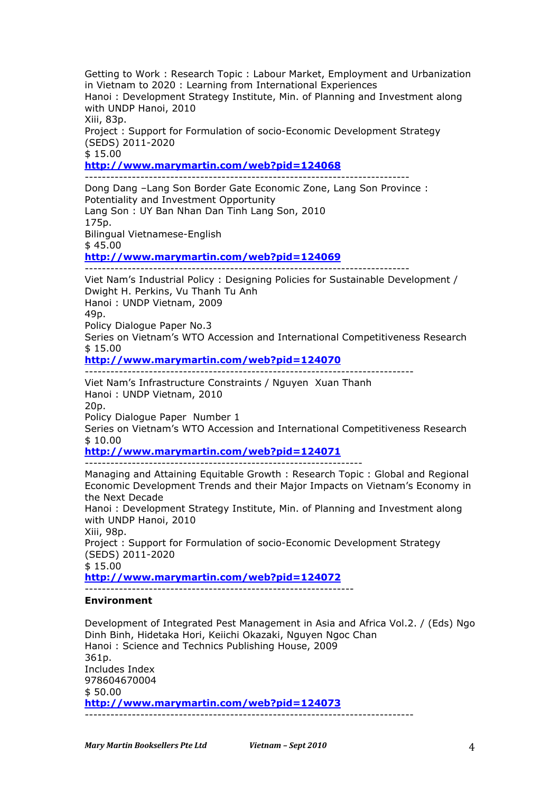Getting to Work : Research Topic : Labour Market, Employment and Urbanization in Vietnam to 2020 : Learning from International Experiences Hanoi : Development Strategy Institute, Min. of Planning and Investment along with UNDP Hanoi, 2010 Xiii, 83p. Project : Support for Formulation of socio-Economic Development Strategy (SEDS) 2011-2020 \$ 15.00 **http://www.marymartin.com/web?pid=124068** ---------------------------------------------------------------------------- Dong Dang –Lang Son Border Gate Economic Zone, Lang Son Province : Potentiality and Investment Opportunity Lang Son : UY Ban Nhan Dan Tinh Lang Son, 2010 175p. Bilingual Vietnamese-English \$ 45.00 **http://www.marymartin.com/web?pid=124069** ---------------------------------------------------------------------------- Viet Nam's Industrial Policy : Designing Policies for Sustainable Development / Dwight H. Perkins, Vu Thanh Tu Anh Hanoi : UNDP Vietnam, 2009 49p. Policy Dialogue Paper No.3 Series on Vietnam's WTO Accession and International Competitiveness Research  $$15.00$ **http://www.marymartin.com/web?pid=124070** ----------------------------------------------------------------------------- Viet Nam's Infrastructure Constraints / Nguyen Xuan Thanh Hanoi : UNDP Vietnam, 2010 20p. Policy Dialogue Paper Number 1 Series on Vietnam's WTO Accession and International Competitiveness Research  $$10.00$ **http://www.marymartin.com/web?pid=124071** ----------------------------------------------------------------- Managing and Attaining Equitable Growth : Research Topic : Global and Regional Economic Development Trends and their Major Impacts on Vietnam's Economy in the Next Decade Hanoi : Development Strategy Institute, Min. of Planning and Investment along with UNDP Hanoi, 2010 Xiii, 98p. Project : Support for Formulation of socio-Economic Development Strategy (SEDS) 2011-2020 \$ 15.00 **http://www.marymartin.com/web?pid=124072** --------------------------------------------------------------- **Environment** Development of Integrated Pest Management in Asia and Africa Vol.2. / (Eds) Ngo Dinh Binh, Hidetaka Hori, Keiichi Okazaki, Nguyen Ngoc Chan Hanoi : Science and Technics Publishing House, 2009

361p. Includes Index 978604670004 \$ 50.00 **http://www.marymartin.com/web?pid=124073** -----------------------------------------------------------------------------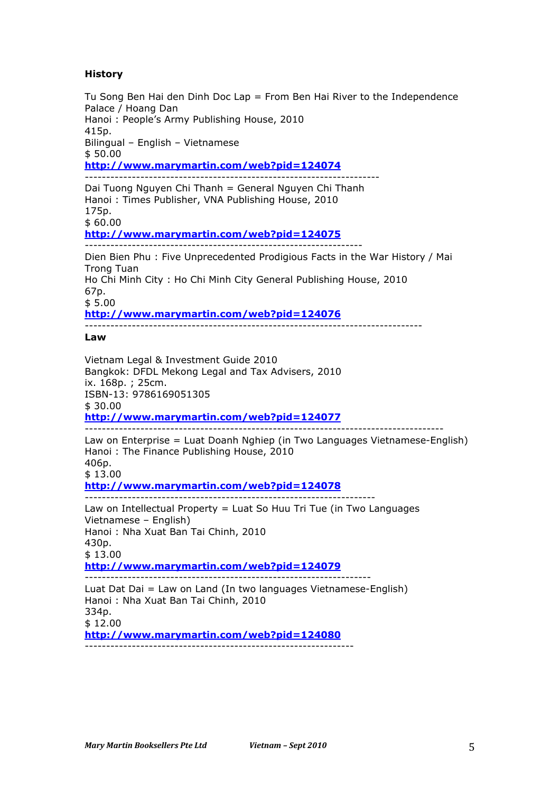# **History**

Tu Song Ben Hai den Dinh Doc Lap = From Ben Hai River to the Independence Palace / Hoang Dan Hanoi : People's Army Publishing House, 2010 415p. Bilingual – English – Vietnamese  $$50.00$ **http://www.marymartin.com/web?pid=124074** ---------------------------------------------------------------------

Dai Tuong Nguyen Chi Thanh = General Nguyen Chi Thanh Hanoi : Times Publisher, VNA Publishing House, 2010 175p. \$ 60.00

**http://www.marymartin.com/web?pid=124075**

----------------------------------------------------------------- Dien Bien Phu : Five Unprecedented Prodigious Facts in the War History / Mai Trong Tuan Ho Chi Minh City : Ho Chi Minh City General Publishing House, 2010 67p. \$ 5.00

**http://www.marymartin.com/web?pid=124076**

-------------------------------------------------------------------------------

### **Law**

Vietnam Legal & Investment Guide 2010 Bangkok: DFDL Mekong Legal and Tax Advisers, 2010 ix. 168p. ; 25cm. ISBN-13: 9786169051305 \$ 30.00 **http://www.marymartin.com/web?pid=124077**

------------------------------------------------------------------------------------

Law on Enterprise = Luat Doanh Nghiep (in Two Languages Vietnamese-English) Hanoi : The Finance Publishing House, 2010 406p. \$ 13.00 **http://www.marymartin.com/web?pid=124078** --------------------------------------------------------------------

Law on Intellectual Property = Luat So Huu Tri Tue (in Two Languages Vietnamese – English) Hanoi : Nha Xuat Ban Tai Chinh, 2010 430p. \$ 13.00 **http://www.marymartin.com/web?pid=124079** ------------------------------------------------------------------- Luat Dat Dai = Law on Land (In two languages Vietnamese-English) Hanoi : Nha Xuat Ban Tai Chinh, 2010 334p. \$ 12.00

**http://www.marymartin.com/web?pid=124080** ---------------------------------------------------------------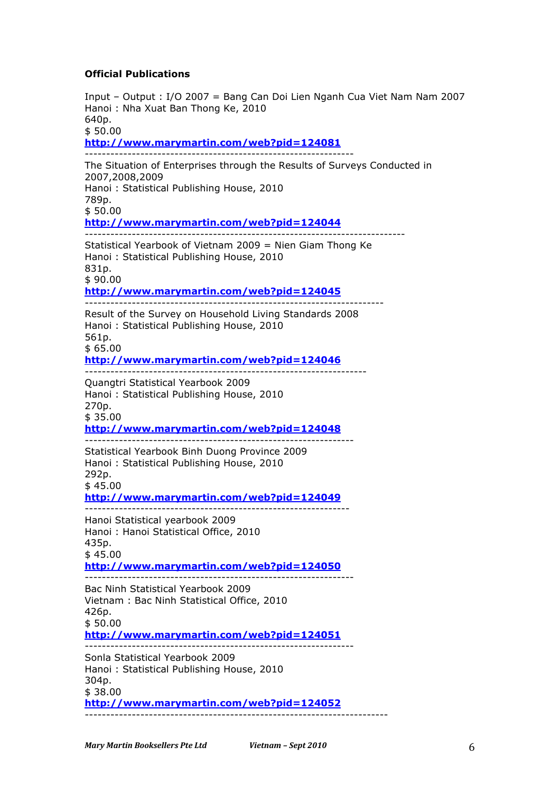### **Official Publications**

Input – Output : I/O 2007 = Bang Can Doi Lien Nganh Cua Viet Nam Nam 2007 Hanoi : Nha Xuat Ban Thong Ke, 2010 640p.  $$50.00$ **http://www.marymartin.com/web?pid=124081** --------------------------------------------------------------- The Situation of Enterprises through the Results of Surveys Conducted in 2007,2008,2009 Hanoi : Statistical Publishing House, 2010 789p. \$ 50.00 **http://www.marymartin.com/web?pid=124044** --------------------------------------------------------------------------- Statistical Yearbook of Vietnam 2009 = Nien Giam Thong Ke Hanoi : Statistical Publishing House, 2010 831p. \$ 90.00 **http://www.marymartin.com/web?pid=124045** ---------------------------------------------------------------------- Result of the Survey on Household Living Standards 2008 Hanoi : Statistical Publishing House, 2010 561p.  $$65.00$ **http://www.marymartin.com/web?pid=124046** ------------------------------------------------------------------ Quangtri Statistical Yearbook 2009 Hanoi : Statistical Publishing House, 2010 270p. \$ 35.00 **http://www.marymartin.com/web?pid=124048** --------------------------------------------------------------- Statistical Yearbook Binh Duong Province 2009 Hanoi : Statistical Publishing House, 2010 292p. \$ 45.00 **http://www.marymartin.com/web?pid=124049** -------------------------------------------------------------- Hanoi Statistical yearbook 2009 Hanoi : Hanoi Statistical Office, 2010 435p.  $$45.00$ **http://www.marymartin.com/web?pid=124050** --------------------------------------------------------------- Bac Ninh Statistical Yearbook 2009 Vietnam : Bac Ninh Statistical Office, 2010 426p. \$ 50.00 **http://www.marymartin.com/web?pid=124051** --------------------------------------------------------------- Sonla Statistical Yearbook 2009 Hanoi : Statistical Publishing House, 2010 304p. \$ 38.00 **http://www.marymartin.com/web?pid=124052** -----------------------------------------------------------------------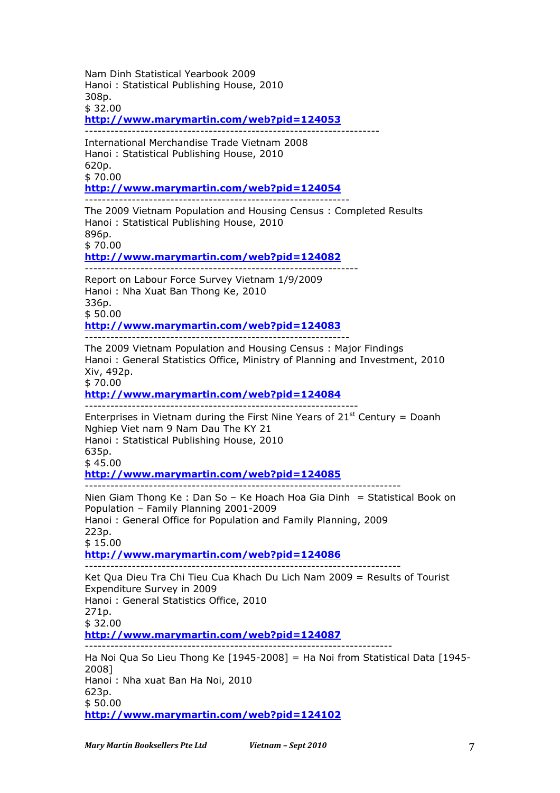Nam Dinh Statistical Yearbook 2009 Hanoi : Statistical Publishing House, 2010 308p. \$ 32.00 **http://www.marymartin.com/web?pid=124053** --------------------------------------------------------------------- International Merchandise Trade Vietnam 2008 Hanoi : Statistical Publishing House, 2010 620p. \$ 70.00 **http://www.marymartin.com/web?pid=124054** -------------------------------------------------------------- The 2009 Vietnam Population and Housing Census : Completed Results Hanoi : Statistical Publishing House, 2010 896p. \$ 70.00 **http://www.marymartin.com/web?pid=124082** ---------------------------------------------------------------- Report on Labour Force Survey Vietnam 1/9/2009 Hanoi : Nha Xuat Ban Thong Ke, 2010 336p. \$ 50.00 **http://www.marymartin.com/web?pid=124083** -------------------------------------------------------------- The 2009 Vietnam Population and Housing Census : Major Findings Hanoi : General Statistics Office, Ministry of Planning and Investment, 2010 Xiv, 492p. \$ 70.00 **http://www.marymartin.com/web?pid=124084** ---------------------------------------------------------------- Enterprises in Vietnam during the First Nine Years of  $21<sup>st</sup>$  Century = Doanh Nghiep Viet nam 9 Nam Dau The KY 21 Hanoi : Statistical Publishing House, 2010 635p. \$ 45.00 **http://www.marymartin.com/web?pid=124085** -------------------------------------------------------------------------- Nien Giam Thong Ke : Dan So – Ke Hoach Hoa Gia Dinh = Statistical Book on Population – Family Planning 2001-2009 Hanoi : General Office for Population and Family Planning, 2009 223p. \$ 15.00 **http://www.marymartin.com/web?pid=124086**  $-$ Ket Qua Dieu Tra Chi Tieu Cua Khach Du Lich Nam 2009 = Results of Tourist Expenditure Survey in 2009 Hanoi : General Statistics Office, 2010 271p. \$ 32.00 **http://www.marymartin.com/web?pid=124087** ------------------------------------------------------------------------ Ha Noi Qua So Lieu Thong Ke [1945-2008] = Ha Noi from Statistical Data [1945- 2008] Hanoi : Nha xuat Ban Ha Noi, 2010 623p. \$ 50.00 **http://www.marymartin.com/web?pid=124102**